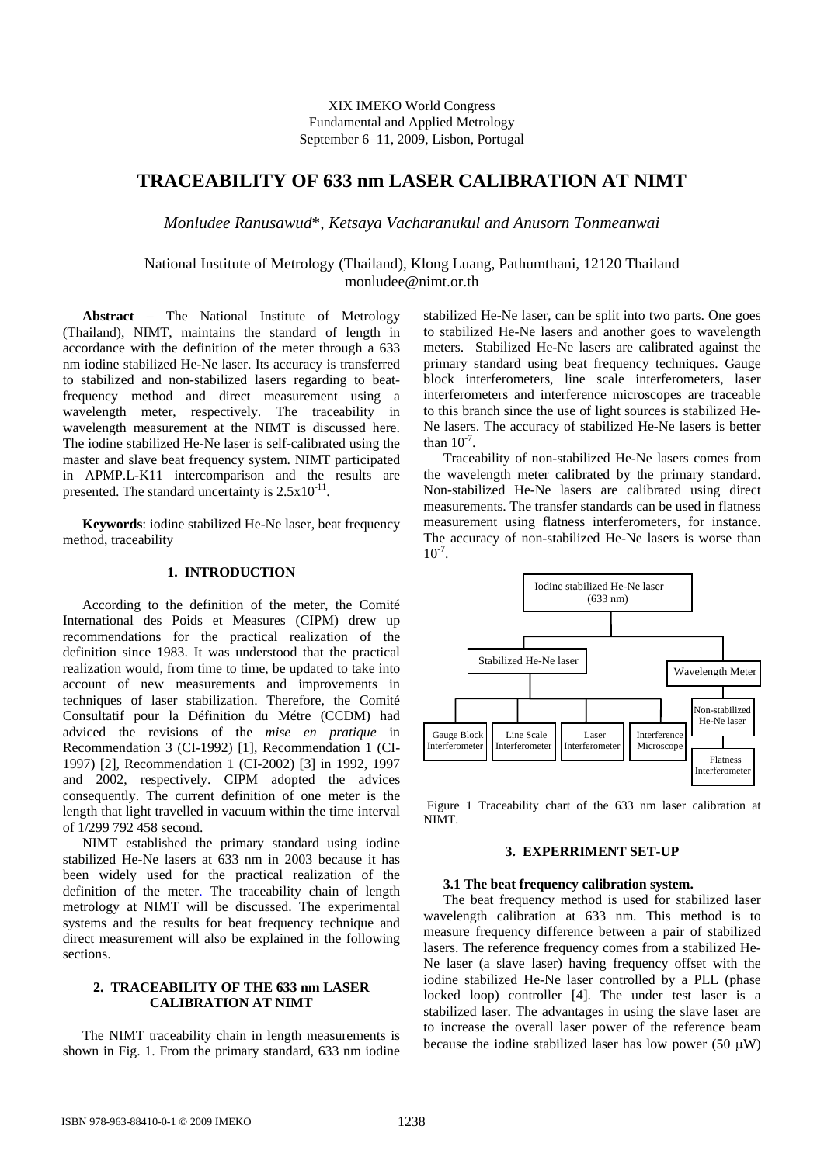XIX IMEKO World Congress Fundamental and Applied Metrology September 6−11, 2009, Lisbon, Portugal

# **TRACEABILITY OF 633 nm LASER CALIBRATION AT NIMT**

*Monludee Ranusawud*\*, *Ketsaya Vacharanukul and Anusorn Tonmeanwai*

# National Institute of Metrology (Thailand), Klong Luang, Pathumthani, 12120 Thailand monludee@nimt.or.th

**Abstract** − The National Institute of Metrology (Thailand), NIMT, maintains the standard of length in accordance with the definition of the meter through a 633 nm iodine stabilized He-Ne laser. Its accuracy is transferred to stabilized and non-stabilized lasers regarding to beatfrequency method and direct measurement using a wavelength meter, respectively. The traceability in wavelength measurement at the NIMT is discussed here. The iodine stabilized He-Ne laser is self-calibrated using the master and slave beat frequency system. NIMT participated in APMP.L-K11 intercomparison and the results are presented. The standard uncertainty is  $2.5 \times 10^{-11}$ .

**Keywords**: iodine stabilized He-Ne laser, beat frequency method, traceability

# **1. INTRODUCTION**

According to the definition of the meter, the Comité International des Poids et Measures (CIPM) drew up recommendations for the practical realization of the definition since 1983. It was understood that the practical realization would, from time to time, be updated to take into account of new measurements and improvements in techniques of laser stabilization. Therefore, the Comité Consultatif pour la Définition du Métre (CCDM) had adviced the revisions of the *mise en pratique* in Recommendation 3 (CI-1992) [1], Recommendation 1 (CI-1997) [2], Recommendation 1 (CI-2002) [3] in 1992, 1997 and 2002, respectively. CIPM adopted the advices consequently. The current definition of one meter is the length that light travelled in vacuum within the time interval of 1/299 792 458 second.

NIMT established the primary standard using iodine stabilized He-Ne lasers at 633 nm in 2003 because it has been widely used for the practical realization of the definition of the meter. The traceability chain of length metrology at NIMT will be discussed. The experimental systems and the results for beat frequency technique and direct measurement will also be explained in the following sections.

# **2. TRACEABILITY OF THE 633 nm LASER CALIBRATION AT NIMT**

The NIMT traceability chain in length measurements is shown in Fig. 1. From the primary standard, 633 nm iodine stabilized He-Ne laser, can be split into two parts. One goes to stabilized He-Ne lasers and another goes to wavelength meters. Stabilized He-Ne lasers are calibrated against the primary standard using beat frequency techniques. Gauge block interferometers, line scale interferometers, laser interferometers and interference microscopes are traceable to this branch since the use of light sources is stabilized He-Ne lasers. The accuracy of stabilized He-Ne lasers is better than  $10^{-7}$ .

Traceability of non-stabilized He-Ne lasers comes from the wavelength meter calibrated by the primary standard. Non-stabilized He-Ne lasers are calibrated using direct measurements. The transfer standards can be used in flatness measurement using flatness interferometers, for instance. The accuracy of non-stabilized He-Ne lasers is worse than  $10^{-7}$ .



Figure 1 Traceability chart of the 633 nm laser calibration at NIMT.

#### **3. EXPERRIMENT SET-UP**

### **3.1 The beat frequency calibration system.**

The beat frequency method is used for stabilized laser wavelength calibration at 633 nm. This method is to measure frequency difference between a pair of stabilized lasers. The reference frequency comes from a stabilized He-Ne laser (a slave laser) having frequency offset with the iodine stabilized He-Ne laser controlled by a PLL (phase locked loop) controller [4]. The under test laser is a stabilized laser. The advantages in using the slave laser are to increase the overall laser power of the reference beam because the iodine stabilized laser has low power (50  $\mu$ W)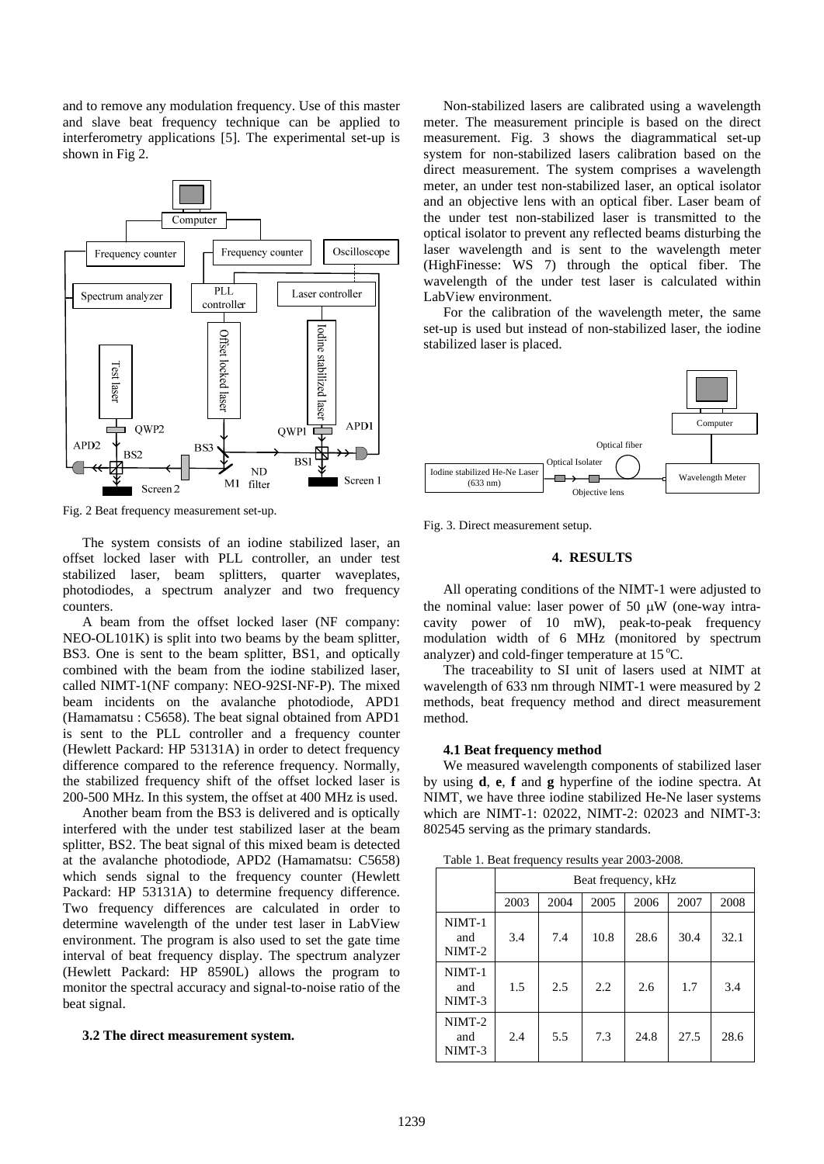and to remove any modulation frequency. Use of this master and slave beat frequency technique can be applied to interferometry applications [5]. The experimental set-up is shown in Fig 2.



Fig. 2 Beat frequency measurement set-up.

The system consists of an iodine stabilized laser, an offset locked laser with PLL controller, an under test stabilized laser, beam splitters, quarter waveplates, photodiodes, a spectrum analyzer and two frequency counters.

A beam from the offset locked laser (NF company: NEO-OL101K) is split into two beams by the beam splitter, BS3. One is sent to the beam splitter, BS1, and optically combined with the beam from the iodine stabilized laser, called NIMT-1(NF company: NEO-92SI-NF-P). The mixed beam incidents on the avalanche photodiode, APD1 (Hamamatsu : C5658). The beat signal obtained from APD1 is sent to the PLL controller and a frequency counter (Hewlett Packard: HP 53131A) in order to detect frequency difference compared to the reference frequency. Normally, the stabilized frequency shift of the offset locked laser is 200-500 MHz. In this system, the offset at 400 MHz is used.

Another beam from the BS3 is delivered and is optically interfered with the under test stabilized laser at the beam splitter, BS2. The beat signal of this mixed beam is detected at the avalanche photodiode, APD2 (Hamamatsu: C5658) which sends signal to the frequency counter (Hewlett Packard: HP 53131A) to determine frequency difference. Two frequency differences are calculated in order to determine wavelength of the under test laser in LabView environment. The program is also used to set the gate time interval of beat frequency display. The spectrum analyzer (Hewlett Packard: HP 8590L) allows the program to monitor the spectral accuracy and signal-to-noise ratio of the beat signal.

### **3.2 The direct measurement system.**

Non-stabilized lasers are calibrated using a wavelength meter. The measurement principle is based on the direct measurement. Fig. 3 shows the diagrammatical set-up system for non-stabilized lasers calibration based on the direct measurement. The system comprises a wavelength meter, an under test non-stabilized laser, an optical isolator and an objective lens with an optical fiber. Laser beam of the under test non-stabilized laser is transmitted to the optical isolator to prevent any reflected beams disturbing the laser wavelength and is sent to the wavelength meter (HighFinesse: WS 7) through the optical fiber. The wavelength of the under test laser is calculated within LabView environment.

For the calibration of the wavelength meter, the same set-up is used but instead of non-stabilized laser, the iodine stabilized laser is placed.



Fig. 3. Direct measurement setup.

# **4. RESULTS**

All operating conditions of the NIMT-1 were adjusted to the nominal value: laser power of 50 μW (one-way intracavity power of 10 mW), peak-to-peak frequency modulation width of 6 MHz (monitored by spectrum analyzer) and cold-finger temperature at  $15^{\circ}$ C.

The traceability to SI unit of lasers used at NIMT at wavelength of 633 nm through NIMT-1 were measured by 2 methods, beat frequency method and direct measurement method.

# **4.1 Beat frequency method**

We measured wavelength components of stabilized laser by using **d**, **e**, **f** and **g** hyperfine of the iodine spectra. At NIMT, we have three iodine stabilized He-Ne laser systems which are NIMT-1: 02022, NIMT-2: 02023 and NIMT-3: 802545 serving as the primary standards.

Table 1. Beat frequency results year 2003-2008.

|                         | Beat frequency, kHz |      |      |      |      |      |
|-------------------------|---------------------|------|------|------|------|------|
|                         | 2003                | 2004 | 2005 | 2006 | 2007 | 2008 |
| NIMT-1<br>and<br>NIMT-2 | 3.4                 | 7.4  | 10.8 | 28.6 | 30.4 | 32.1 |
| NIMT-1<br>and<br>NIMT-3 | 1.5                 | 2.5  | 2.2  | 2.6  | 1.7  | 3.4  |
| NIMT-2<br>and<br>NIMT-3 | 2.4                 | 5.5  | 7.3  | 24.8 | 27.5 | 28.6 |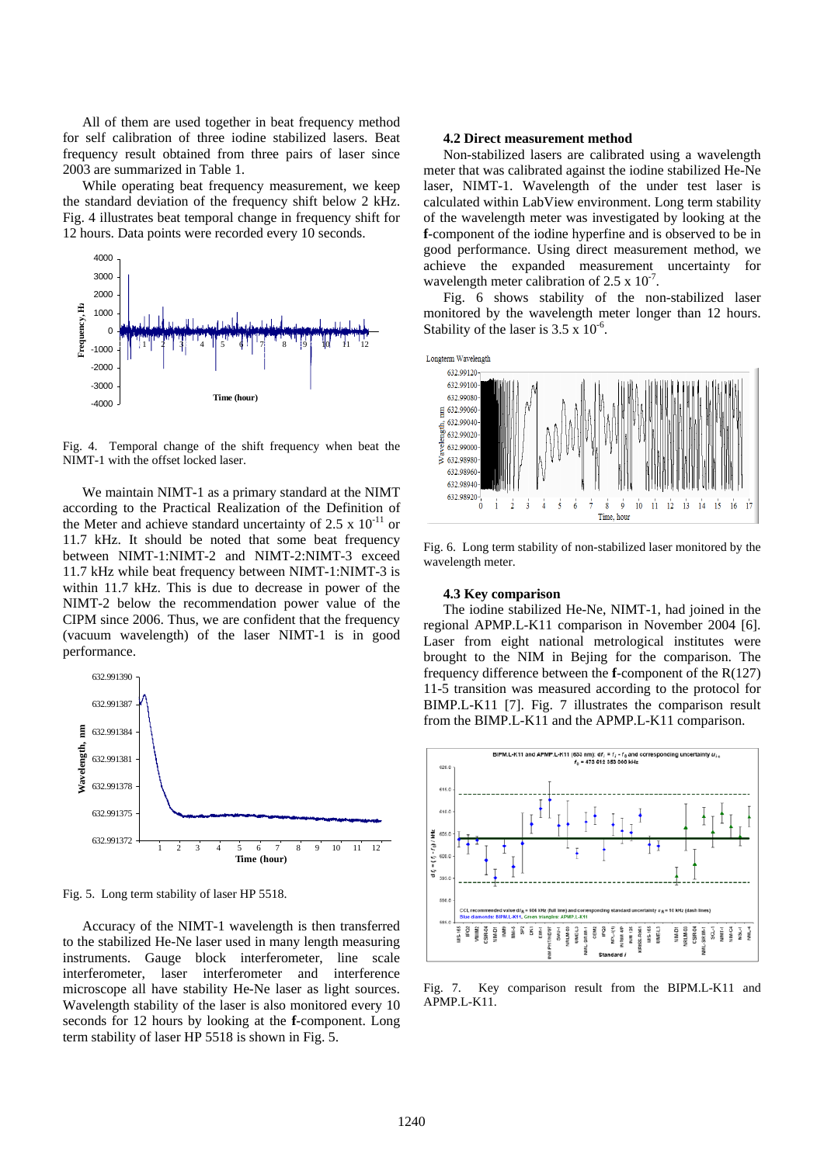All of them are used together in beat frequency method for self calibration of three iodine stabilized lasers. Beat frequency result obtained from three pairs of laser since 2003 are summarized in Table 1.

While operating beat frequency measurement, we keep the standard deviation of the frequency shift below 2 kHz. Fig. 4 illustrates beat temporal change in frequency shift for 12 hours. Data points were recorded every 10 seconds.



Fig. 4. Temporal change of the shift frequency when beat the NIMT-1 with the offset locked laser.

We maintain NIMT-1 as a primary standard at the NIMT according to the Practical Realization of the Definition of the Meter and achieve standard uncertainty of 2.5 x  $10^{-11}$  or 11.7 kHz. It should be noted that some beat frequency between NIMT-1:NIMT-2 and NIMT-2:NIMT-3 exceed 11.7 kHz while beat frequency between NIMT-1:NIMT-3 is within 11.7 kHz. This is due to decrease in power of the NIMT-2 below the recommendation power value of the CIPM since 2006. Thus, we are confident that the frequency (vacuum wavelength) of the laser NIMT-1 is in good performance.



Fig. 5. Long term stability of laser HP 5518.

Accuracy of the NIMT-1 wavelength is then transferred to the stabilized He-Ne laser used in many length measuring instruments. Gauge block interferometer, line scale interferometer, laser interferometer and interference microscope all have stability He-Ne laser as light sources. Wavelength stability of the laser is also monitored every 10 seconds for 12 hours by looking at the **f**-component. Long term stability of laser HP 5518 is shown in Fig. 5.

#### **4.2 Direct measurement method**

Non-stabilized lasers are calibrated using a wavelength meter that was calibrated against the iodine stabilized He-Ne laser, NIMT-1. Wavelength of the under test laser is calculated within LabView environment. Long term stability of the wavelength meter was investigated by looking at the **f**-component of the iodine hyperfine and is observed to be in good performance. Using direct measurement method, we achieve the expanded measurement uncertainty for wavelength meter calibration of  $2.5 \times 10^{-7}$ .

Fig. 6 shows stability of the non-stabilized laser monitored by the wavelength meter longer than 12 hours. Stability of the laser is  $3.5 \times 10^{-6}$ .



Fig. 6. Long term stability of non-stabilized laser monitored by the wavelength meter.

#### **4.3 Key comparison**

The iodine stabilized He-Ne, NIMT-1, had joined in the regional APMP.L-K11 comparison in November 2004 [6]. Laser from eight national metrological institutes were brought to the NIM in Bejing for the comparison. The frequency difference between the **f**-component of the R(127) 11-5 transition was measured according to the protocol for BIMP.L-K11 [7]. Fig. 7 illustrates the comparison result from the BIMP.L-K11 and the APMP.L-K11 comparison.



Fig. 7. Key comparison result from the BIPM.L-K11 and APMP.L-K11.